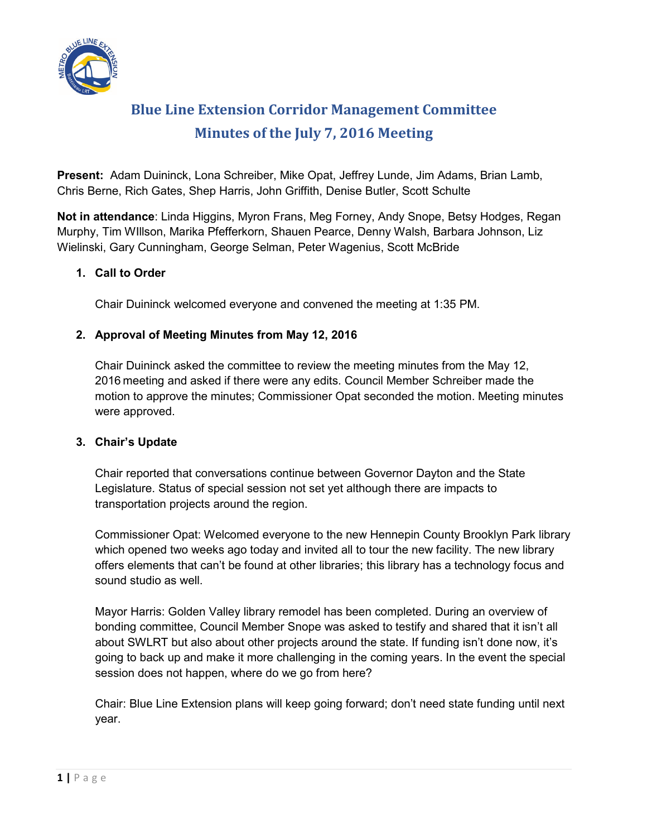

# **Blue Line Extension Corridor Management Committee Minutes of the July 7, 2016 Meeting**

**Present:** Adam Duininck, Lona Schreiber, Mike Opat, Jeffrey Lunde, Jim Adams, Brian Lamb, Chris Berne, Rich Gates, Shep Harris, John Griffith, Denise Butler, Scott Schulte

**Not in attendance**: Linda Higgins, Myron Frans, Meg Forney, Andy Snope, Betsy Hodges, Regan Murphy, Tim WIllson, Marika Pfefferkorn, Shauen Pearce, Denny Walsh, Barbara Johnson, Liz Wielinski, Gary Cunningham, George Selman, Peter Wagenius, Scott McBride

### **1. Call to Order**

Chair Duininck welcomed everyone and convened the meeting at 1:35 PM.

## **2. Approval of Meeting Minutes from May 12, 2016**

Chair Duininck asked the committee to review the meeting minutes from the May 12, 2016 meeting and asked if there were any edits. Council Member Schreiber made the motion to approve the minutes; Commissioner Opat seconded the motion. Meeting minutes were approved.

### **3. Chair's Update**

Chair reported that conversations continue between Governor Dayton and the State Legislature. Status of special session not set yet although there are impacts to transportation projects around the region.

Commissioner Opat: Welcomed everyone to the new Hennepin County Brooklyn Park library which opened two weeks ago today and invited all to tour the new facility. The new library offers elements that can't be found at other libraries; this library has a technology focus and sound studio as well.

Mayor Harris: Golden Valley library remodel has been completed. During an overview of bonding committee, Council Member Snope was asked to testify and shared that it isn't all about SWLRT but also about other projects around the state. If funding isn't done now, it's going to back up and make it more challenging in the coming years. In the event the special session does not happen, where do we go from here?

Chair: Blue Line Extension plans will keep going forward; don't need state funding until next year.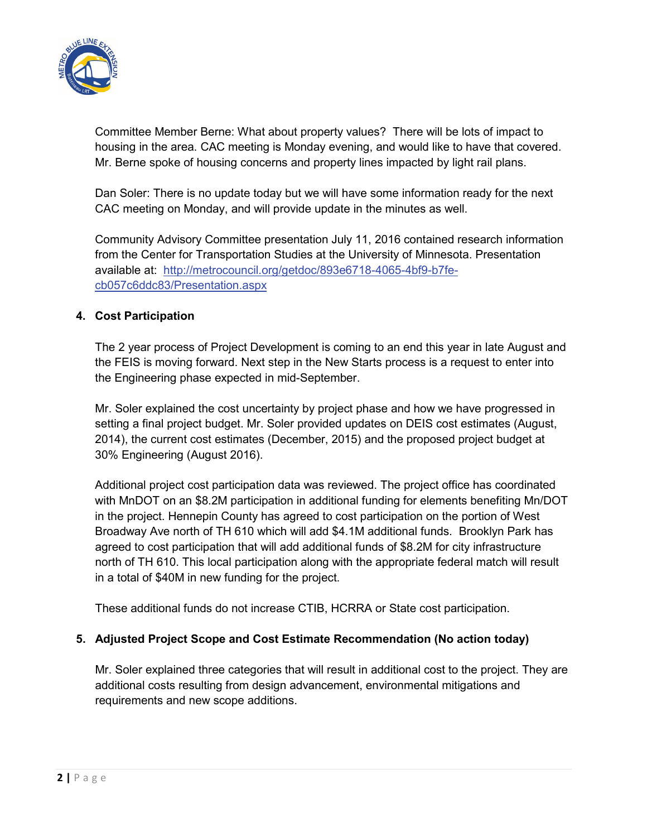

Committee Member Berne: What about property values? There will be lots of impact to housing in the area. CAC meeting is Monday evening, and would like to have that covered. Mr. Berne spoke of housing concerns and property lines impacted by light rail plans.

Dan Soler: There is no update today but we will have some information ready for the next CAC meeting on Monday, and will provide update in the minutes as well.

Community Advisory Committee presentation July 11, 2016 contained research information from the Center for Transportation Studies at the University of Minnesota. Presentation available at: [http://metrocouncil.org/getdoc/893e6718-4065-4bf9-b7fe](http://metrocouncil.org/getdoc/893e6718-4065-4bf9-b7fe-cb057c6ddc83/Presentation.aspx)[cb057c6ddc83/Presentation.aspx](http://metrocouncil.org/getdoc/893e6718-4065-4bf9-b7fe-cb057c6ddc83/Presentation.aspx)

### **4. Cost Participation**

The 2 year process of Project Development is coming to an end this year in late August and the FEIS is moving forward. Next step in the New Starts process is a request to enter into the Engineering phase expected in mid-September.

Mr. Soler explained the cost uncertainty by project phase and how we have progressed in setting a final project budget. Mr. Soler provided updates on DEIS cost estimates (August, 2014), the current cost estimates (December, 2015) and the proposed project budget at 30% Engineering (August 2016).

Additional project cost participation data was reviewed. The project office has coordinated with MnDOT on an \$8.2M participation in additional funding for elements benefiting Mn/DOT in the project. Hennepin County has agreed to cost participation on the portion of West Broadway Ave north of TH 610 which will add \$4.1M additional funds. Brooklyn Park has agreed to cost participation that will add additional funds of \$8.2M for city infrastructure north of TH 610. This local participation along with the appropriate federal match will result in a total of \$40M in new funding for the project.

These additional funds do not increase CTIB, HCRRA or State cost participation.

### **5. Adjusted Project Scope and Cost Estimate Recommendation (No action today)**

Mr. Soler explained three categories that will result in additional cost to the project. They are additional costs resulting from design advancement, environmental mitigations and requirements and new scope additions.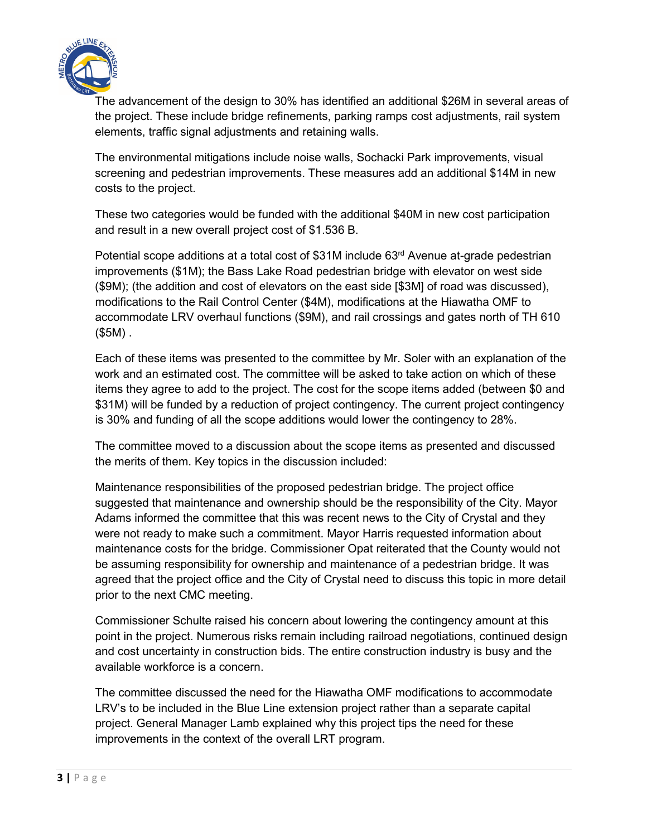

The advancement of the design to 30% has identified an additional \$26M in several areas of the project. These include bridge refinements, parking ramps cost adjustments, rail system elements, traffic signal adjustments and retaining walls.

The environmental mitigations include noise walls, Sochacki Park improvements, visual screening and pedestrian improvements. These measures add an additional \$14M in new costs to the project.

These two categories would be funded with the additional \$40M in new cost participation and result in a new overall project cost of \$1.536 B.

Potential scope additions at a total cost of \$31M include 63<sup>rd</sup> Avenue at-grade pedestrian improvements (\$1M); the Bass Lake Road pedestrian bridge with elevator on west side (\$9M); (the addition and cost of elevators on the east side [\$3M] of road was discussed), modifications to the Rail Control Center (\$4M), modifications at the Hiawatha OMF to accommodate LRV overhaul functions (\$9M), and rail crossings and gates north of TH 610 (\$5M) .

Each of these items was presented to the committee by Mr. Soler with an explanation of the work and an estimated cost. The committee will be asked to take action on which of these items they agree to add to the project. The cost for the scope items added (between \$0 and \$31M) will be funded by a reduction of project contingency. The current project contingency is 30% and funding of all the scope additions would lower the contingency to 28%.

The committee moved to a discussion about the scope items as presented and discussed the merits of them. Key topics in the discussion included:

Maintenance responsibilities of the proposed pedestrian bridge. The project office suggested that maintenance and ownership should be the responsibility of the City. Mayor Adams informed the committee that this was recent news to the City of Crystal and they were not ready to make such a commitment. Mayor Harris requested information about maintenance costs for the bridge. Commissioner Opat reiterated that the County would not be assuming responsibility for ownership and maintenance of a pedestrian bridge. It was agreed that the project office and the City of Crystal need to discuss this topic in more detail prior to the next CMC meeting.

Commissioner Schulte raised his concern about lowering the contingency amount at this point in the project. Numerous risks remain including railroad negotiations, continued design and cost uncertainty in construction bids. The entire construction industry is busy and the available workforce is a concern.

The committee discussed the need for the Hiawatha OMF modifications to accommodate LRV's to be included in the Blue Line extension project rather than a separate capital project. General Manager Lamb explained why this project tips the need for these improvements in the context of the overall LRT program.